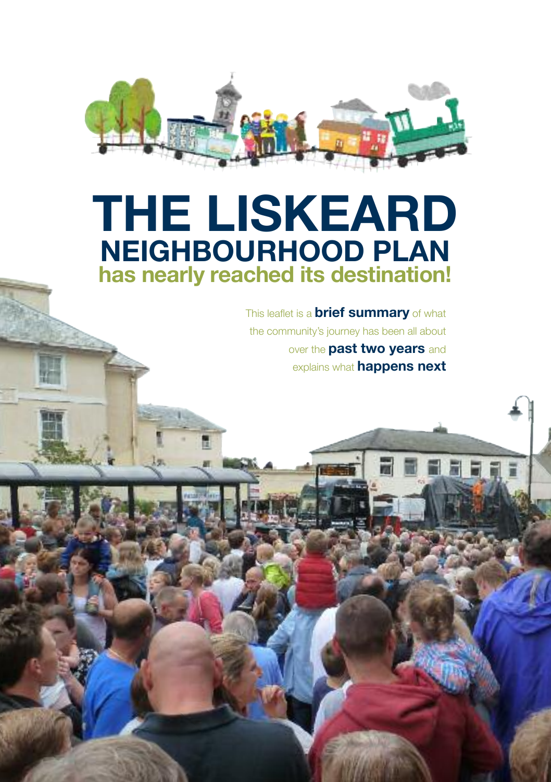

# **THE LISKEARD NEIGHBOURHOOD PLAN has nearly reached its destination!**

This leaflet is a **brief summary** of what the community's journey has been all about over the **past two years** and explains what **happens next**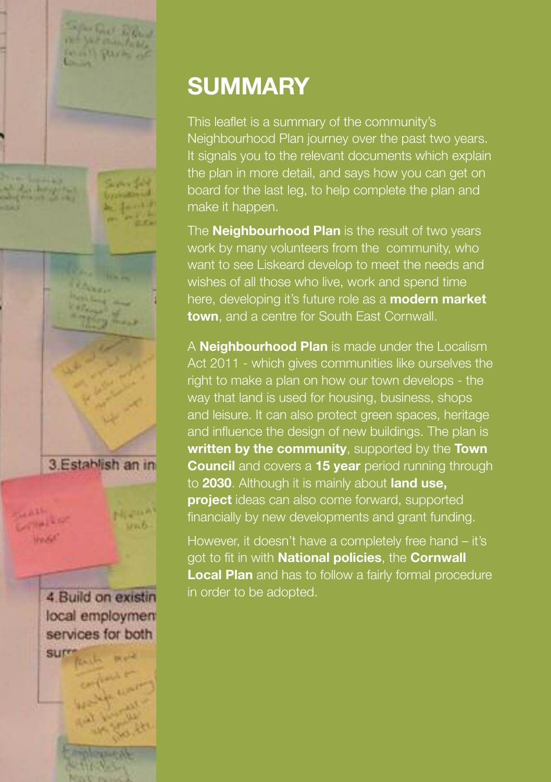

# **SUMMARY**

This leaflet is a summary of the community's Neighbourhood Plan journey over the past two years. It signals you to the relevant documents which explain the plan in more detail, and says how you can get on board for the last leg, to help complete the plan and make it happen.

The **Neighbourhood Plan** is the result of two years work by many volunteers from the community, who want to see Liskeard develop to meet the needs and wishes of all those who live, work and spend time here, developing it's future role as a **modern market town**, and a centre for South East Cornwall.

A **Neighbourhood Plan** is made under the Localism Act 2011 - which gives communities like ourselves the right to make a plan on how our town develops - the way that land is used for housing, business, shops and leisure. It can also protect green spaces, heritage and influence the design of new buildings. The plan is **written by the community**, supported by the **Town Council** and covers a **15 year** period running through to **2030**. Although it is mainly about **land use, project** ideas can also come forward, supported financially by new developments and grant funding.

However, it doesn't have a completely free hand – it's got to fit in with **National policies**, the **Cornwall Local Plan** and has to follow a fairly formal procedure in order to be adopted.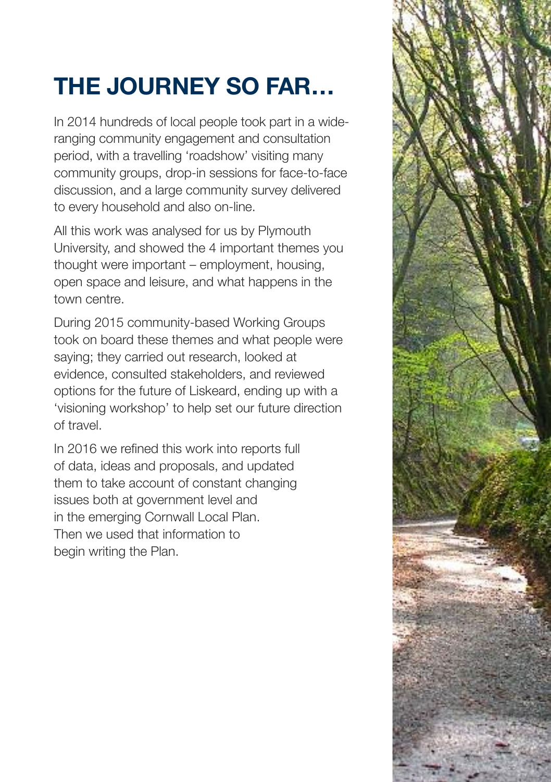# **THE JOURNEY SO FAR…**

In 2014 hundreds of local people took part in a wideranging community engagement and consultation period, with a travelling 'roadshow' visiting many community groups, drop-in sessions for face-to-face discussion, and a large community survey delivered to every household and also on-line.

All this work was analysed for us by Plymouth University, and showed the 4 important themes you thought were important – employment, housing, open space and leisure, and what happens in the town centre.

During 2015 community-based Working Groups took on board these themes and what people were saying; they carried out research, looked at evidence, consulted stakeholders, and reviewed options for the future of Liskeard, ending up with a 'visioning workshop' to help set our future direction of travel.

In 2016 we refined this work into reports full of data, ideas and proposals, and updated them to take account of constant changing issues both at government level and in the emerging Cornwall Local Plan. Then we used that information to begin writing the Plan.

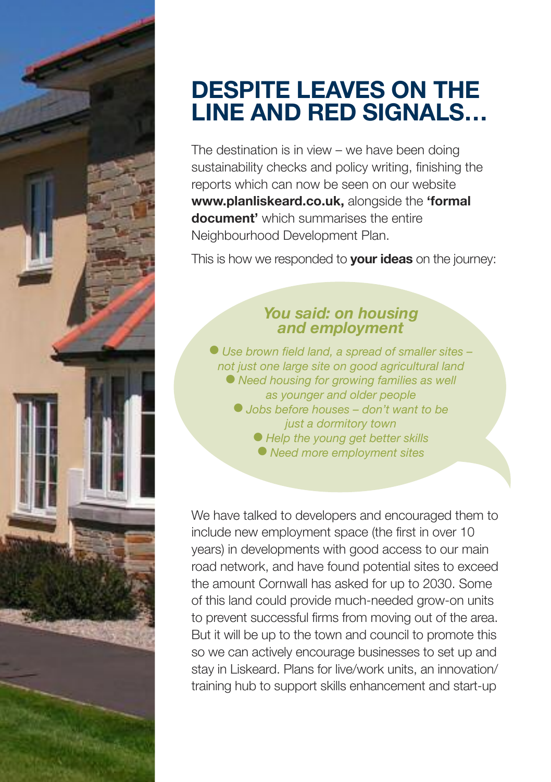

### **DESPITE LEAVES ON THE LINE AND RED SIGNALS…**

The destination is in view – we have been doing sustainability checks and policy writing, finishing the reports which can now be seen on our website **www.planliskeard.co.uk,** alongside the **'formal document'** which summarises the entire Neighbourhood Development Plan.

This is how we responded to **your ideas** on the journey:

#### *You said: on housing and employment*

l *Use brown field land, a spread of smaller sites – not just one large site on good agricultural land* l *Need housing for growing families as well as younger and older people* l *Jobs before houses – don't want to be just a dormitory town* l *Help the young get better skills* l *Need more employment sites*

We have talked to developers and encouraged them to include new employment space (the first in over 10 years) in developments with good access to our main road network, and have found potential sites to exceed the amount Cornwall has asked for up to 2030. Some of this land could provide much-needed grow-on units to prevent successful firms from moving out of the area. But it will be up to the town and council to promote this so we can actively encourage businesses to set up and stay in Liskeard. Plans for live/work units, an innovation/ training hub to support skills enhancement and start-up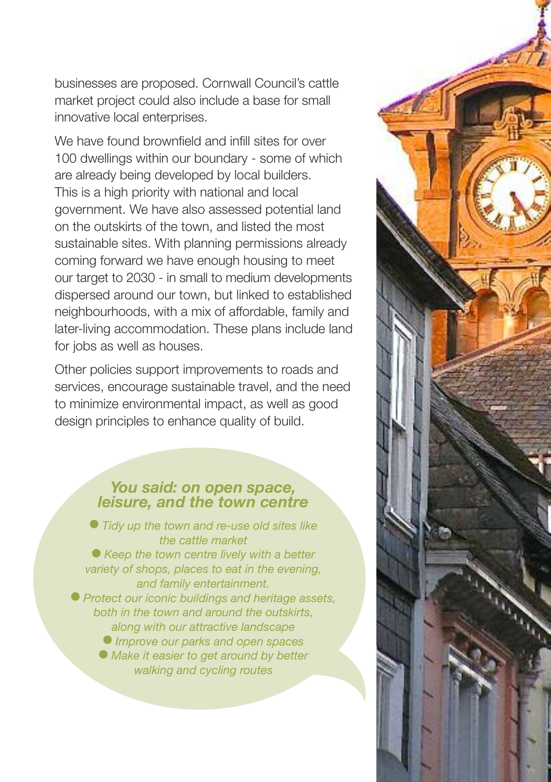businesses are proposed. Cornwall Council's cattle market project could also include a base for small innovative local enterprises.

We have found brownfield and infill sites for over 100 dwellings within our boundary - some of which are already being developed by local builders. This is a high priority with national and local government. We have also assessed potential land on the outskirts of the town, and listed the most sustainable sites. With planning permissions already coming forward we have enough housing to meet our target to 2030 - in small to medium developments dispersed around our town, but linked to established neighbourhoods, with a mix of affordable, family and later-living accommodation. These plans include land for jobs as well as houses.

Other policies support improvements to roads and services, encourage sustainable travel, and the need to minimize environmental impact, as well as good design principles to enhance quality of build.

## *You said: on open space, leisure, and the town centre*

l *Tidy up the town and re-use old sites like the cattle market* l *Keep the town centre lively with a better variety of shops, places to eat in the evening, and family entertainment.* l *Protect our iconic buildings and heritage assets, both in the town and around the outskirts, along with our attractive landscape* l *Improve our parks and open spaces* l *Make it easier to get around by better walking and cycling routes*

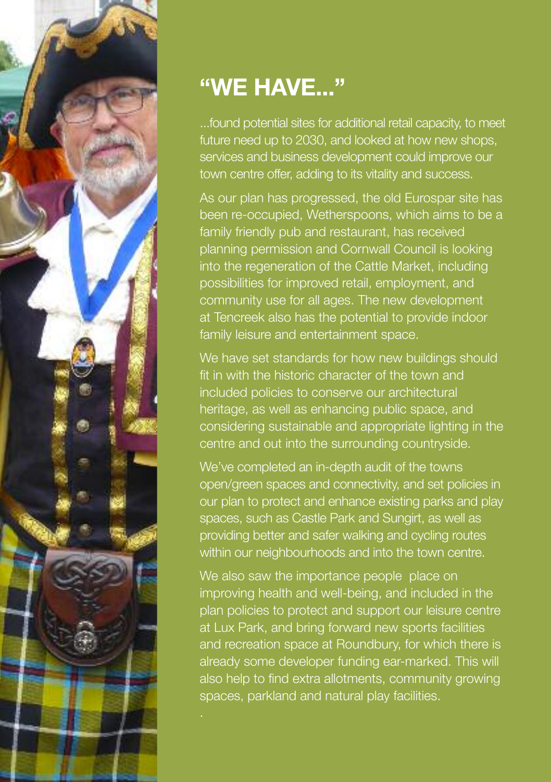

## **"WE HAVE..."**

...found potential sites for additional retail capacity, to meet future need up to 2030, and looked at how new shops, services and business development could improve our town centre offer, adding to its vitality and success.

As our plan has progressed, the old Eurospar site has been re-occupied, Wetherspoons, which aims to be a family friendly pub and restaurant, has received planning permission and Cornwall Council is looking into the regeneration of the Cattle Market, including possibilities for improved retail, employment, and community use for all ages. The new development at Tencreek also has the potential to provide indoor family leisure and entertainment space.

We have set standards for how new buildings should fit in with the historic character of the town and included policies to conserve our architectural heritage, as well as enhancing public space, and considering sustainable and appropriate lighting in the centre and out into the surrounding countryside.

We've completed an in-depth audit of the towns open/green spaces and connectivity, and set policies in our plan to protect and enhance existing parks and play spaces, such as Castle Park and Sungirt, as well as providing better and safer walking and cycling routes within our neighbourhoods and into the town centre.

We also saw the importance people place on improving health and well-being, and included in the plan policies to protect and support our leisure centre at Lux Park, and bring forward new sports facilities and recreation space at Roundbury, for which there is already some developer funding ear-marked. This will also help to find extra allotments, community growing spaces, parkland and natural play facilities.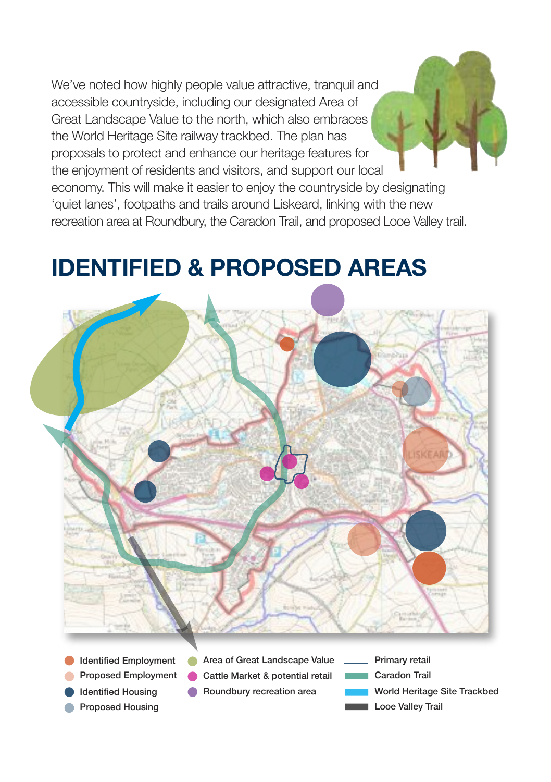We've noted how highly people value attractive, tranquil and accessible countryside, including our designated Area of Great Landscape Value to the north, which also embraces the World Heritage Site railway trackbed. The plan has proposals to protect and enhance our heritage features for the enjoyment of residents and visitors, and support our local economy. This will make it easier to enjoy the countryside by designating 'quiet lanes', footpaths and trails around Liskeard, linking with the new

### **IDENTIFIED & PROPOSED AREAS**

recreation area at Roundbury, the Caradon Trail, and proposed Looe Valley trail.



Caradon Trail

Looe Valley Trail

World Heritage Site Trackbed

Identified Employment Proposed Employment Identified Housing Proposed Housing Cattle Market & potential retail Roundbury recreation area